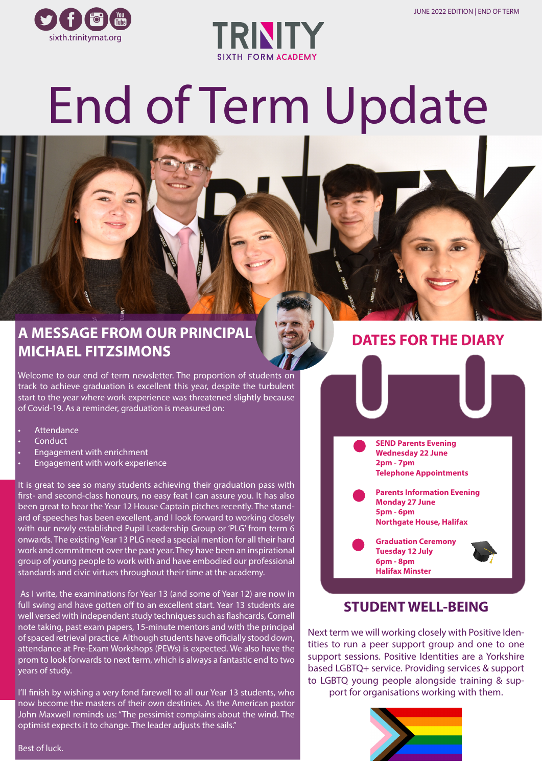



# End of Term Update

## **A MESSAGE FROM OUR PRINCIPAL MICHAEL FITZSIMONS**

Welcome to our end of term newsletter. The proportion of students on track to achieve graduation is excellent this year, despite the turbulent start to the year where work experience was threatened slightly because of Covid-19. As a reminder, graduation is measured on:

- Attendance
- Conduct
- Engagement with enrichment
- Engagement with work experience

It is great to see so many students achieving their graduation pass with first- and second-class honours, no easy feat I can assure you. It has also been great to hear the Year 12 House Captain pitches recently. The standard of speeches has been excellent, and I look forward to working closely with our newly established Pupil Leadership Group or 'PLG' from term 6 onwards. The existing Year 13 PLG need a special mention for all their hard work and commitment over the past year. They have been an inspirational group of young people to work with and have embodied our professional standards and civic virtues throughout their time at the academy.

 As I write, the examinations for Year 13 (and some of Year 12) are now in full swing and have gotten off to an excellent start. Year 13 students are well versed with independent study techniques such as flashcards, Cornell note taking, past exam papers, 15-minute mentors and with the principal of spaced retrieval practice. Although students have officially stood down, attendance at Pre-Exam Workshops (PEWs) is expected. We also have the prom to look forwards to next term, which is always a fantastic end to two years of study.

I'll finish by wishing a very fond farewell to all our Year 13 students, who now become the masters of their own destinies. As the American pastor John Maxwell reminds us: "The pessimist complains about the wind. The optimist expects it to change. The leader adjusts the sails."

#### **DATES FOR THE DIARY**

**SEND Parents Evening Wednesday 22 June 2pm - 7pm Telephone Appointments**

**Parents Information Evening Monday 27 June 5pm - 6pm Northgate House, Halifax**

**Graduation Ceremony Tuesday 12 July 6pm - 8pm Halifax Minster** 



#### **STUDENT WELL-BEING**

Next term we will working closely with Positive Identities to run a peer support group and one to one support sessions. Positive Identities are a Yorkshire based LGBTQ+ service. Providing services & support to LGBTQ young people alongside training & support for organisations working with them.